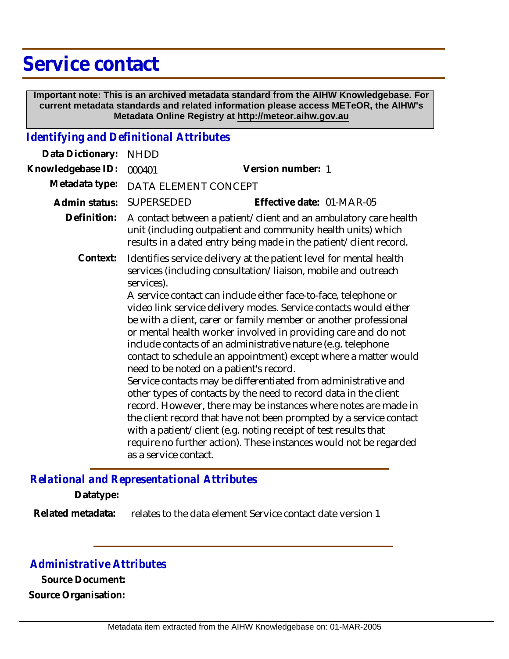# **Service contact**

 **Important note: This is an archived metadata standard from the AIHW Knowledgebase. For current metadata standards and related information please access METeOR, the AIHW's Metadata Online Registry at http://meteor.aihw.gov.au**

### *Identifying and Definitional Attributes*

| Data Dictionary:  | <b>NHDD</b>                                                                                                                                                                                           |                                                                                                                                                                                                                                                                                                                                                                                                                                                                                                                                                                                                                                                                                                                                                                                                        |
|-------------------|-------------------------------------------------------------------------------------------------------------------------------------------------------------------------------------------------------|--------------------------------------------------------------------------------------------------------------------------------------------------------------------------------------------------------------------------------------------------------------------------------------------------------------------------------------------------------------------------------------------------------------------------------------------------------------------------------------------------------------------------------------------------------------------------------------------------------------------------------------------------------------------------------------------------------------------------------------------------------------------------------------------------------|
| Knowledgebase ID: | 000401                                                                                                                                                                                                | Version number: 1                                                                                                                                                                                                                                                                                                                                                                                                                                                                                                                                                                                                                                                                                                                                                                                      |
| Metadata type:    | DATA ELEMENT CONCEPT                                                                                                                                                                                  |                                                                                                                                                                                                                                                                                                                                                                                                                                                                                                                                                                                                                                                                                                                                                                                                        |
| Admin status:     | <b>SUPERSEDED</b>                                                                                                                                                                                     | Effective date: 01-MAR-05                                                                                                                                                                                                                                                                                                                                                                                                                                                                                                                                                                                                                                                                                                                                                                              |
| Definition:       | A contact between a patient/client and an ambulatory care health<br>unit (including outpatient and community health units) which<br>results in a dated entry being made in the patient/client record. |                                                                                                                                                                                                                                                                                                                                                                                                                                                                                                                                                                                                                                                                                                                                                                                                        |
| Context:          | services).                                                                                                                                                                                            | Identifies service delivery at the patient level for mental health<br>services (including consultation/liaison, mobile and outreach<br>A service contact can include either face-to-face, telephone or<br>video link service delivery modes. Service contacts would either<br>be with a client, carer or family member or another professional<br>or mental health worker involved in providing care and do not<br>include contacts of an administrative nature (e.g. telephone<br>contact to schedule an appointment) except where a matter would<br>need to be noted on a patient's record.<br>Service contacts may be differentiated from administrative and<br>other types of contacts by the need to record data in the client<br>record. However, there may be instances where notes are made in |
|                   | as a service contact.                                                                                                                                                                                 | the client record that have not been prompted by a service contact<br>with a patient/client (e.g. noting receipt of test results that<br>require no further action). These instances would not be regarded                                                                                                                                                                                                                                                                                                                                                                                                                                                                                                                                                                                             |

## *Relational and Representational Attributes*

**Datatype:**

relates to the data element Service contact date version 1 **Related metadata:**

### *Administrative Attributes*

**Source Document: Source Organisation:**